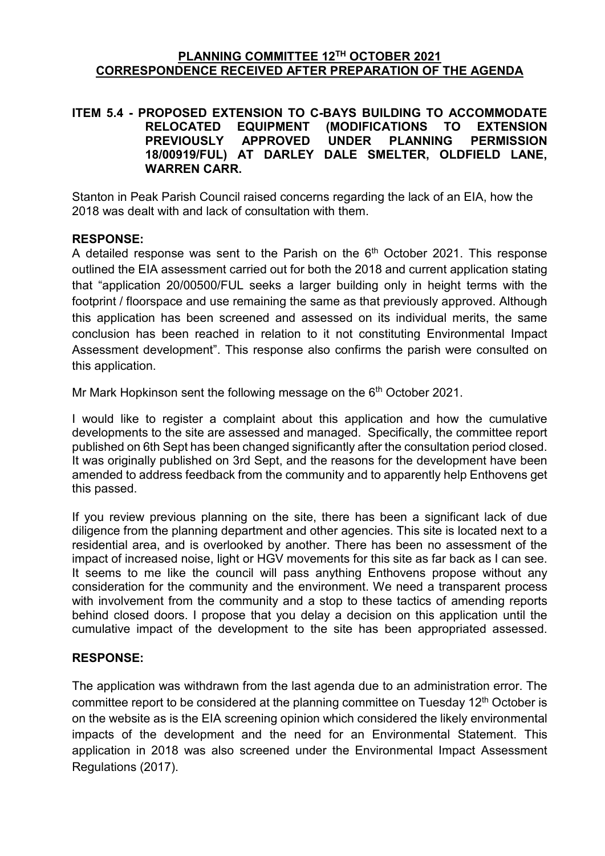#### **PLANNING COMMITTEE 12TH OCTOBER 2021 CORRESPONDENCE RECEIVED AFTER PREPARATION OF THE AGENDA**

#### **ITEM 5.4 - PROPOSED EXTENSION TO C-BAYS BUILDING TO ACCOMMODATE RELOCATED EQUIPMENT (MODIFICATIONS TO EXTENSION PERMISSION 18/00919/FUL) AT DARLEY DALE SMELTER, OLDFIELD LANE, WARREN CARR.**

Stanton in Peak Parish Council raised concerns regarding the lack of an EIA, how the 2018 was dealt with and lack of consultation with them.

### **RESPONSE:**

A detailed response was sent to the Parish on the  $6<sup>th</sup>$  October 2021. This response outlined the EIA assessment carried out for both the 2018 and current application stating that "application 20/00500/FUL seeks a larger building only in height terms with the footprint / floorspace and use remaining the same as that previously approved. Although this application has been screened and assessed on its individual merits, the same conclusion has been reached in relation to it not constituting Environmental Impact Assessment development". This response also confirms the parish were consulted on this application.

Mr Mark Hopkinson sent the following message on the  $6<sup>th</sup>$  October 2021.

I would like to register a complaint about this application and how the cumulative developments to the site are assessed and managed. Specifically, the committee report published on 6th Sept has been changed significantly after the consultation period closed. It was originally published on 3rd Sept, and the reasons for the development have been amended to address feedback from the community and to apparently help Enthovens get this passed.

If you review previous planning on the site, there has been a significant lack of due diligence from the planning department and other agencies. This site is located next to a residential area, and is overlooked by another. There has been no assessment of the impact of increased noise, light or HGV movements for this site as far back as I can see. It seems to me like the council will pass anything Enthovens propose without any consideration for the community and the environment. We need a transparent process with involvement from the community and a stop to these tactics of amending reports behind closed doors. I propose that you delay a decision on this application until the cumulative impact of the development to the site has been appropriated assessed.

### **RESPONSE:**

The application was withdrawn from the last agenda due to an administration error. The committee report to be considered at the planning committee on Tuesday 12<sup>th</sup> October is on the website as is the EIA screening opinion which considered the likely environmental impacts of the development and the need for an Environmental Statement. This application in 2018 was also screened under the Environmental Impact Assessment Regulations (2017).